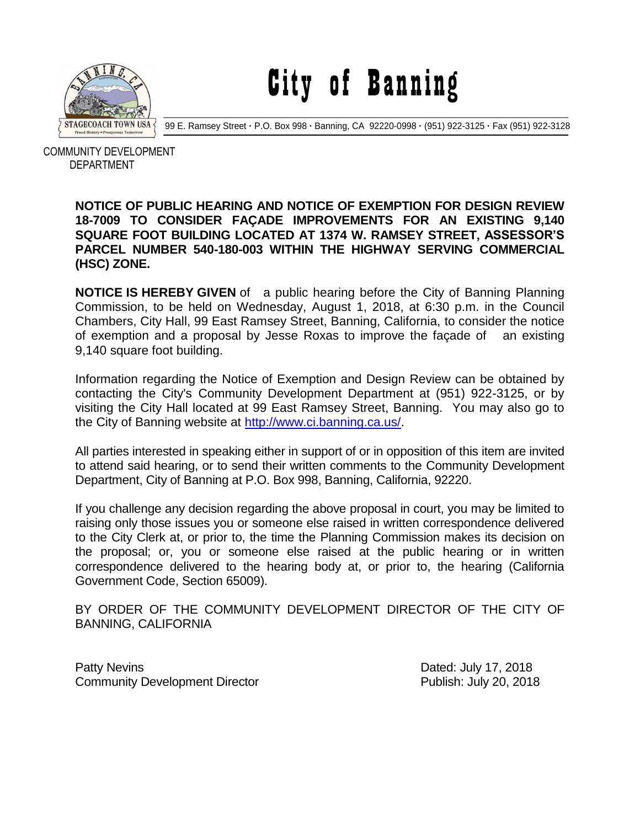

City of Banning

99 E. Ramsey Street **·** P.O. Box 998 **·** Banning, CA 92220-0998 **·** (951) 922-3125 **·** Fax (951) 922-3128

 COMMUNITY DEVELOPMENT DEPARTMENT

## **NOTICE OF PUBLIC HEARING AND NOTICE OF EXEMPTION FOR DESIGN REVIEW 18-7009 TO CONSIDER FAÇADE IMPROVEMENTS FOR AN EXISTING 9,140 SQUARE FOOT BUILDING LOCATED AT 1374 W. RAMSEY STREET, ASSESSOR'S PARCEL NUMBER 540-180-003 WITHIN THE HIGHWAY SERVING COMMERCIAL (HSC) ZONE.**

**NOTICE IS HEREBY GIVEN** of a public hearing before the City of Banning Planning Commission, to be held on Wednesday, August 1, 2018, at 6:30 p.m. in the Council Chambers, City Hall, 99 East Ramsey Street, Banning, California, to consider the notice of exemption and a proposal by Jesse Roxas to improve the façade of an existing 9,140 square foot building.

Information regarding the Notice of Exemption and Design Review can be obtained by contacting the City's Community Development Department at (951) 922-3125, or by visiting the City Hall located at 99 East Ramsey Street, Banning. You may also go to the City of Banning website at [http://www.ci.banning.ca.us/.](http://www.ci.banning.ca.us/)

All parties interested in speaking either in support of or in opposition of this item are invited to attend said hearing, or to send their written comments to the Community Development Department, City of Banning at P.O. Box 998, Banning, California, 92220.

If you challenge any decision regarding the above proposal in court, you may be limited to raising only those issues you or someone else raised in written correspondence delivered to the City Clerk at, or prior to, the time the Planning Commission makes its decision on the proposal; or, you or someone else raised at the public hearing or in written correspondence delivered to the hearing body at, or prior to, the hearing (California Government Code, Section 65009).

BY ORDER OF THE COMMUNITY DEVELOPMENT DIRECTOR OF THE CITY OF BANNING, CALIFORNIA

Patty Nevins **Patty News** 2018 Community Development Director **Publish: July 20, 2018**